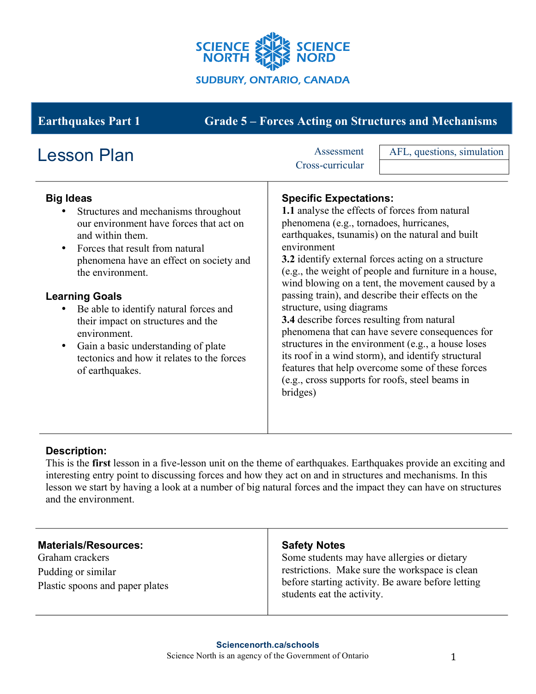

# **Earthquakes Part 1 Grade 5 – Forces Acting on Structures and Mechanisms**

| <b>Lesson Plan</b>                                                                                                                                                                                                                                                                                                                                                                                                                                                                   | Assessment<br>Cross-curricular                                                                                                                                                                                                                                                      | AFL, questions, simulation                                                                                                                                                                                                                                                                                                                                                                                                                                                                 |
|--------------------------------------------------------------------------------------------------------------------------------------------------------------------------------------------------------------------------------------------------------------------------------------------------------------------------------------------------------------------------------------------------------------------------------------------------------------------------------------|-------------------------------------------------------------------------------------------------------------------------------------------------------------------------------------------------------------------------------------------------------------------------------------|--------------------------------------------------------------------------------------------------------------------------------------------------------------------------------------------------------------------------------------------------------------------------------------------------------------------------------------------------------------------------------------------------------------------------------------------------------------------------------------------|
| <b>Big Ideas</b><br>Structures and mechanisms throughout<br>our environment have forces that act on<br>and within them.<br>Forces that result from natural<br>$\bullet$<br>phenomena have an effect on society and<br>the environment.<br><b>Learning Goals</b><br>Be able to identify natural forces and<br>their impact on structures and the<br>environment.<br>Gain a basic understanding of plate<br>$\bullet$<br>tectonics and how it relates to the forces<br>of earthquakes. | <b>Specific Expectations:</b><br>1.1 analyse the effects of forces from natural<br>phenomena (e.g., tornadoes, hurricanes,<br>environment<br>structure, using diagrams<br>3.4 describe forces resulting from natural<br>(e.g., cross supports for roofs, steel beams in<br>bridges) | earthquakes, tsunamis) on the natural and built<br>3.2 identify external forces acting on a structure<br>(e.g., the weight of people and furniture in a house,<br>wind blowing on a tent, the movement caused by a<br>passing train), and describe their effects on the<br>phenomena that can have severe consequences for<br>structures in the environment (e.g., a house loses<br>its roof in a wind storm), and identify structural<br>features that help overcome some of these forces |

## **Description:**

This is the **first** lesson in a five-lesson unit on the theme of earthquakes. Earthquakes provide an exciting and interesting entry point to discussing forces and how they act on and in structures and mechanisms. In this lesson we start by having a look at a number of big natural forces and the impact they can have on structures and the environment.

Graham crackers Pudding or similar Plastic spoons and paper plates

## **Safety Notes**

Some students may have allergies or dietary restrictions. Make sure the workspace is clean before starting activity. Be aware before letting students eat the activity.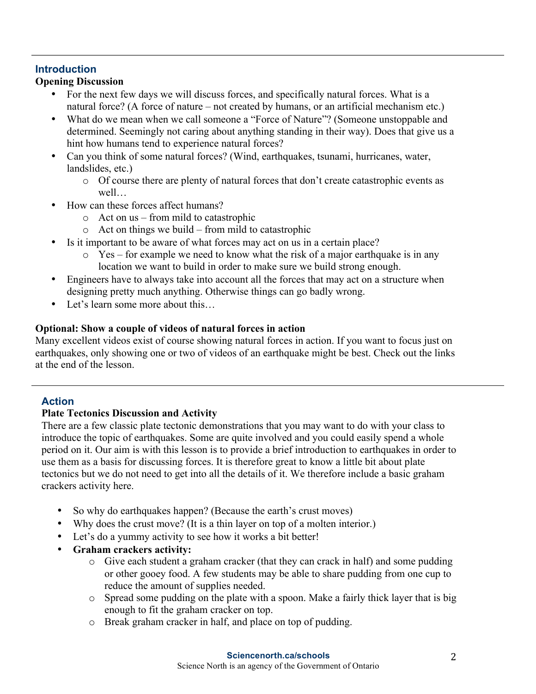# **Introduction**

# **Opening Discussion**

- For the next few days we will discuss forces, and specifically natural forces. What is a natural force? (A force of nature – not created by humans, or an artificial mechanism etc.)
- What do we mean when we call someone a "Force of Nature"? (Someone unstoppable and determined. Seemingly not caring about anything standing in their way). Does that give us a hint how humans tend to experience natural forces?
- Can you think of some natural forces? (Wind, earthquakes, tsunami, hurricanes, water, landslides, etc.)
	- o Of course there are plenty of natural forces that don't create catastrophic events as well
- How can these forces affect humans?
	- o Act on us from mild to catastrophic
	- o Act on things we build from mild to catastrophic
- Is it important to be aware of what forces may act on us in a certain place?
	- $\circ$  Yes for example we need to know what the risk of a major earthquake is in any location we want to build in order to make sure we build strong enough.
- Engineers have to always take into account all the forces that may act on a structure when designing pretty much anything. Otherwise things can go badly wrong.
- Let's learn some more about this...

# **Optional: Show a couple of videos of natural forces in action**

Many excellent videos exist of course showing natural forces in action. If you want to focus just on earthquakes, only showing one or two of videos of an earthquake might be best. Check out the links at the end of the lesson.

# **Action**

## **Plate Tectonics Discussion and Activity**

There are a few classic plate tectonic demonstrations that you may want to do with your class to introduce the topic of earthquakes. Some are quite involved and you could easily spend a whole period on it. Our aim is with this lesson is to provide a brief introduction to earthquakes in order to use them as a basis for discussing forces. It is therefore great to know a little bit about plate tectonics but we do not need to get into all the details of it. We therefore include a basic graham crackers activity here.

- So why do earthquakes happen? (Because the earth's crust moves)
- Why does the crust move? (It is a thin layer on top of a molten interior.)
- Let's do a yummy activity to see how it works a bit better!
- **Graham crackers activity:**
	- o Give each student a graham cracker (that they can crack in half) and some pudding or other gooey food. A few students may be able to share pudding from one cup to reduce the amount of supplies needed.
	- o Spread some pudding on the plate with a spoon. Make a fairly thick layer that is big enough to fit the graham cracker on top.
	- o Break graham cracker in half, and place on top of pudding.